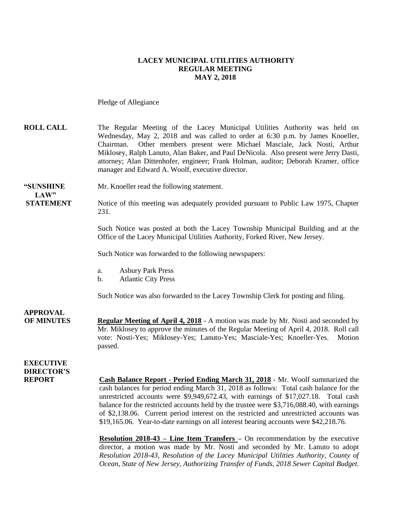#### **LACEY MUNICIPAL UTILITIES AUTHORITY REGULAR MEETING MAY 2, 2018**

Pledge of Allegiance

**ROLL CALL** The Regular Meeting of the Lacey Municipal Utilities Authority was held on Wednesday, May 2, 2018 and was called to order at 6:30 p.m. by James Knoeller, Chairman. Other members present were Michael Masciale, Jack Nosti, Arthur Miklosey, Ralph Lanuto, Alan Baker, and Paul DeNicola. Also present were Jerry Dasti, attorney; Alan Dittenhofer, engineer; Frank Holman, auditor; Deborah Kramer, office manager and Edward A. Woolf, executive director.

**"SUNSHINE** Mr. Knoeller read the following statement. **LAW"** 

**STATEMENT** Notice of this meeting was adequately provided pursuant to Public Law 1975, Chapter 231.

> Such Notice was posted at both the Lacey Township Municipal Building and at the Office of the Lacey Municipal Utilities Authority, Forked River, New Jersey.

Such Notice was forwarded to the following newspapers:

- a. Asbury Park Press
- b. Atlantic City Press

Such Notice was also forwarded to the Lacey Township Clerk for posting and filing.

**APPROVAL OF MINUTES Regular Meeting of April 4, 2018** - A motion was made by Mr. Nosti and seconded by Mr. Miklosey to approve the minutes of the Regular Meeting of April 4, 2018. Roll call vote: Nosti-Yes; Miklosey-Yes; Lanuto-Yes; Masciale-Yes; Knoeller-Yes. Motion passed.

### **EXECUTIVE DIRECTOR'S**

**REPORT Cash Balance Report - Period Ending March 31, 2018** - Mr. Woolf summarized the cash balances for period ending March 31, 2018 as follows: Total cash balance for the unrestricted accounts were \$9,949,672.43, with earnings of \$17,027.18. Total cash balance for the restricted accounts held by the trustee were \$3,716,088.40, with earnings of \$2,138.06. Current period interest on the restricted and unrestricted accounts was \$19,165.06. Year-to-date earnings on all interest bearing accounts were \$42,218.76.

> **Resolution 2018-43 – Line Item Transfers –** On recommendation by the executive director, a motion was made by Mr. Nosti and seconded by Mr. Lanuto to adopt *Resolution 2018-43, Resolution of the Lacey Municipal Utilities Authority, County of Ocean, State of New Jersey, Authorizing Transfer of Funds, 2018 Sewer Capital Budget.*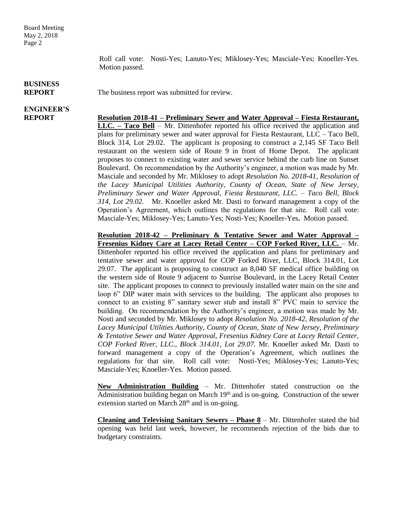Roll call vote: Nosti-Yes; Lanuto-Yes; Miklosey-Yes; Masciale-Yes; Knoeller-Yes. Motion passed.

#### **BUSINESS REPORT** The business report was submitted for review.

# **ENGINEER'S**

**REPORT Resolution 2018-41 – Preliminary Sewer and Water Approval – Fiesta Restaurant, LLC. – Taco Bell** – Mr. Dittenhofer reported his office received the application and plans for preliminary sewer and water approval for Fiesta Restaurant, LLC – Taco Bell, Block 314, Lot 29.02. The applicant is proposing to construct a 2,145 SF Taco Bell restaurant on the western side of Route 9 in front of Home Depot. The applicant proposes to connect to existing water and sewer service behind the curb line on Sunset Boulevard. On recommendation by the Authority's engineer, a motion was made by Mr. Masciale and seconded by Mr. Miklosey to adopt *Resolution No. 2018-41, Resolution of the Lacey Municipal Utilities Authority, County of Ocean, State of New Jersey, Preliminary Sewer and Water Approval, Fiesta Restaurant, LLC. – Taco Bell, Block 314, Lot 29.02.* Mr. Knoeller asked Mr. Dasti to forward management a copy of the Operation's Agreement, which outlines the regulations for that site. Roll call vote: Masciale-Yes; Miklosey-Yes; Lanuto-Yes; Nosti-Yes; Knoeller-Yes**.** Motion passed.

> **Resolution 2018-42 – Preliminary & Tentative Sewer and Water Approval – Fresenius Kidney Care at Lacey Retail Center – COP Forked River, LLC.** – Mr. Dittenhofer reported his office received the application and plans for preliminary and tentative sewer and water approval for COP Forked River, LLC, Block 314.01, Lot 29.07. The applicant is proposing to construct an 8,040 SF medical office building on the western side of Route 9 adjacent to Sunrise Boulevard, in the Lacey Retail Center site. The applicant proposes to connect to previously installed water main on the site and loop 6" DIP water main with services to the building. The applicant also proposes to connect to an existing 8" sanitary sewer stub and install 8" PVC main to service the building. On recommendation by the Authority's engineer, a motion was made by Mr. Nosti and seconded by Mr. Miklosey to adopt *Resolution No. 2018-42, Resolution of the Lacey Municipal Utilities Authority, County of Ocean, State of New Jersey, Preliminary & Tentative Sewer and Water Approval, Fresenius Kidney Care at Lacey Retail Center, COP Forked River, LLC., Block 314.01, Lot 29.07.* Mr. Knoeller asked Mr. Dasti to forward management a copy of the Operation's Agreement, which outlines the regulations for that site. Roll call vote: Nosti-Yes; Miklosey-Yes; Lanuto-Yes; Masciale-Yes; Knoeller-Yes. Motion passed.

> **New Administration Building** – Mr. Dittenhofer stated construction on the Administration building began on March  $19<sup>th</sup>$  and is on-going. Construction of the sewer extension started on March  $28<sup>th</sup>$  and is on-going.

> **Cleaning and Televising Sanitary Sewers – Phase 8** – Mr. Dittenhofer stated the bid opening was held last week, however, he recommends rejection of the bids due to budgetary constraints.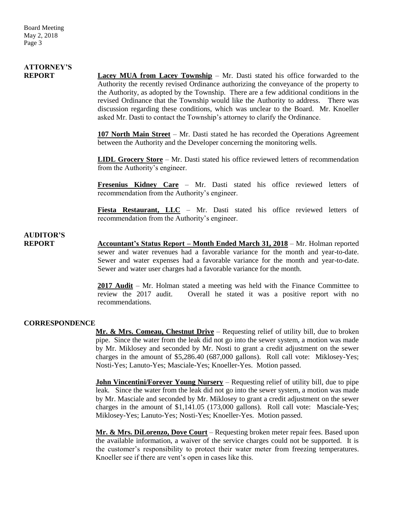# **ATTORNEY'S**

**REPORT Lacey MUA from Lacey Township** – Mr. Dasti stated his office forwarded to the Authority the recently revised Ordinance authorizing the conveyance of the property to the Authority, as adopted by the Township. There are a few additional conditions in the revised Ordinance that the Township would like the Authority to address. There was discussion regarding these conditions, which was unclear to the Board. Mr. Knoeller asked Mr. Dasti to contact the Township's attorney to clarify the Ordinance.

> **107 North Main Street** – Mr. Dasti stated he has recorded the Operations Agreement between the Authority and the Developer concerning the monitoring wells.

> **LIDL Grocery Store** – Mr. Dasti stated his office reviewed letters of recommendation from the Authority's engineer.

> **Fresenius Kidney Care** – Mr. Dasti stated his office reviewed letters of recommendation from the Authority's engineer.

> **Fiesta Restaurant, LLC** – Mr. Dasti stated his office reviewed letters of recommendation from the Authority's engineer.

### **AUDITOR'S**

**REPORT** Accountant's Status Report – Month Ended March 31, 2018 – Mr. Holman reported sewer and water revenues had a favorable variance for the month and year-to-date. Sewer and water expenses had a favorable variance for the month and year-to-date. Sewer and water user charges had a favorable variance for the month.

> **2017 Audit** – Mr. Holman stated a meeting was held with the Finance Committee to review the 2017 audit. Overall he stated it was a positive report with no recommendations.

#### **CORRESPONDENCE**

**Mr. & Mrs. Comeau, Chestnut Drive** – Requesting relief of utility bill, due to broken pipe. Since the water from the leak did not go into the sewer system, a motion was made by Mr. Miklosey and seconded by Mr. Nosti to grant a credit adjustment on the sewer charges in the amount of \$5,286.40 (687,000 gallons). Roll call vote: Miklosey-Yes; Nosti-Yes; Lanuto-Yes; Masciale-Yes; Knoeller-Yes. Motion passed.

**John Vincentini/Forever Young Nursery** – Requesting relief of utility bill, due to pipe leak. Since the water from the leak did not go into the sewer system, a motion was made by Mr. Masciale and seconded by Mr. Miklosey to grant a credit adjustment on the sewer charges in the amount of \$1,141.05 (173,000 gallons). Roll call vote: Masciale-Yes; Miklosey-Yes; Lanuto-Yes; Nosti-Yes; Knoeller-Yes. Motion passed.

**Mr. & Mrs. DiLorenzo, Dove Court** – Requesting broken meter repair fees. Based upon the available information, a waiver of the service charges could not be supported. It is the customer's responsibility to protect their water meter from freezing temperatures. Knoeller see if there are vent's open in cases like this.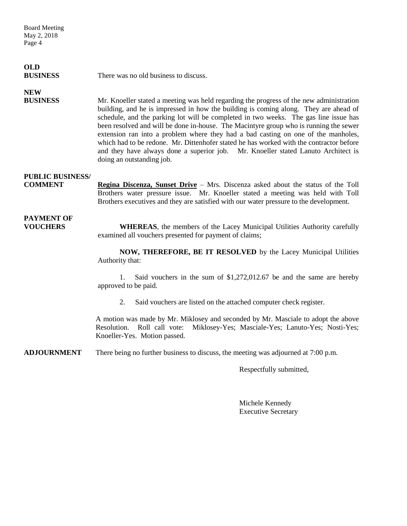Board Meeting May 2, 2018 Page 4

## **OLD**

**BUSINESS** There was no old business to discuss.

## **NEW**

**BUSINESS** Mr. Knoeller stated a meeting was held regarding the progress of the new administration building, and he is impressed in how the building is coming along. They are ahead of schedule, and the parking lot will be completed in two weeks. The gas line issue has been resolved and will be done in-house. The Macintyre group who is running the sewer extension ran into a problem where they had a bad casting on one of the manholes, which had to be redone. Mr. Dittenhofer stated he has worked with the contractor before and they have always done a superior job. Mr. Knoeller stated Lanuto Architect is doing an outstanding job.

### **PUBLIC BUSINESS/**

**COMMENT Regina Discenza, Sunset Drive** – Mrs. Discenza asked about the status of the Toll Brothers water pressure issue. Mr. Knoeller stated a meeting was held with Toll Brothers executives and they are satisfied with our water pressure to the development.

# **PAYMENT OF**

**VOUCHERS WHEREAS**, the members of the Lacey Municipal Utilities Authority carefully examined all vouchers presented for payment of claims;

> **NOW, THEREFORE, BE IT RESOLVED** by the Lacey Municipal Utilities Authority that:

> 1. Said vouchers in the sum of \$1,272,012.67 be and the same are hereby approved to be paid.

2. Said vouchers are listed on the attached computer check register.

A motion was made by Mr. Miklosey and seconded by Mr. Masciale to adopt the above Resolution. Roll call vote: Miklosey-Yes; Masciale-Yes; Lanuto-Yes; Nosti-Yes; Knoeller-Yes. Motion passed.

**ADJOURNMENT** There being no further business to discuss, the meeting was adjourned at 7:00 p.m.

Respectfully submitted,

Michele Kennedy Executive Secretary